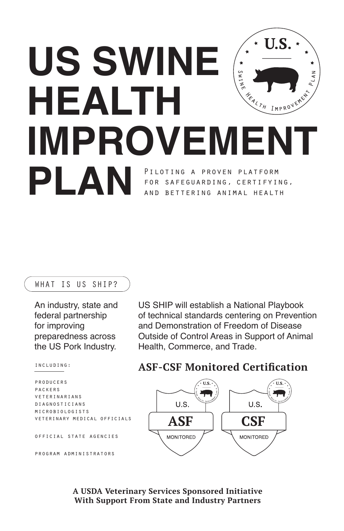# U.S **US SWINE**  SWINE **HEALTH**  IMPROVEMENT **IMPROVEMENT PLAN** PILOTING A PROVEN PLATFORM for safeguarding, certifying, BETTERING ANIMAL HEALTH

#### WHAT IS US SHIP?

An industry, state and federal partnership for improving preparedness across the US Pork Industry.

US SHIP will establish a National Playbook of technical standards centering on Prevention and Demonstration of Freedom of Disease Outside of Control Areas in Support of Animal Health, Commerce, and Trade.

including:

```
producers
packers
veterinarians
diagnosticians
MICROBIOLOGISTS
veterinary medical officials
```
official state agencies

program administrators





**A USDA Veterinary Services Sponsored Initiative With Support From State and Industry Partners**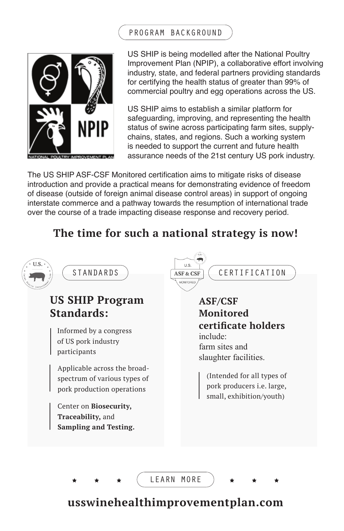



US SHIP is being modelled after the National Poultry Improvement Plan (NPIP), a collaborative effort involving industry, state, and federal partners providing standards for certifying the health status of greater than 99% of commercial poultry and egg operations across the US.

US SHIP aims to establish a similar platform for safeguarding, improving, and representing the health status of swine across participating farm sites, supplychains, states, and regions. Such a working system is needed to support the current and future health assurance needs of the 21st century US pork industry.

The US SHIP ASF-CSF Monitored certification aims to mitigate risks of disease introduction and provide a practical means for demonstrating evidence of freedom of disease (outside of foreign animal disease control areas) in support of ongoing interstate commerce and a pathway towards the resumption of international trade over the course of a trade impacting disease response and recovery period.

## **The time for such a national strategy is now!**



## **usswinehealthimprovementplan.com**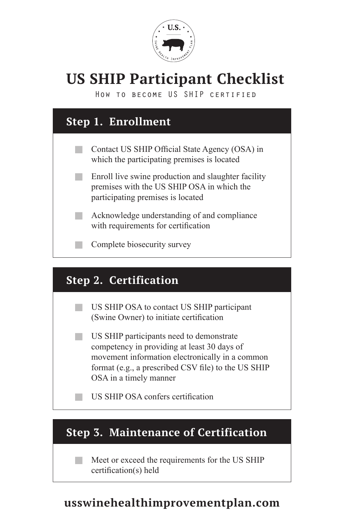

# **US SHIP Participant Checklist**

How to become US SHIP certified



- US SHIP participants need to demonstrate competency in providing at least 30 days of movement information electronically in a common format (e.g., a prescribed CSV file) to the US SHIP OSA in a timely manner
- US SHIP OSA confers certification

## **Step 3. Maintenance of Certification**

Meet or exceed the requirements for the US SHIP certification(s) held

## **usswinehealthimprovementplan.com**